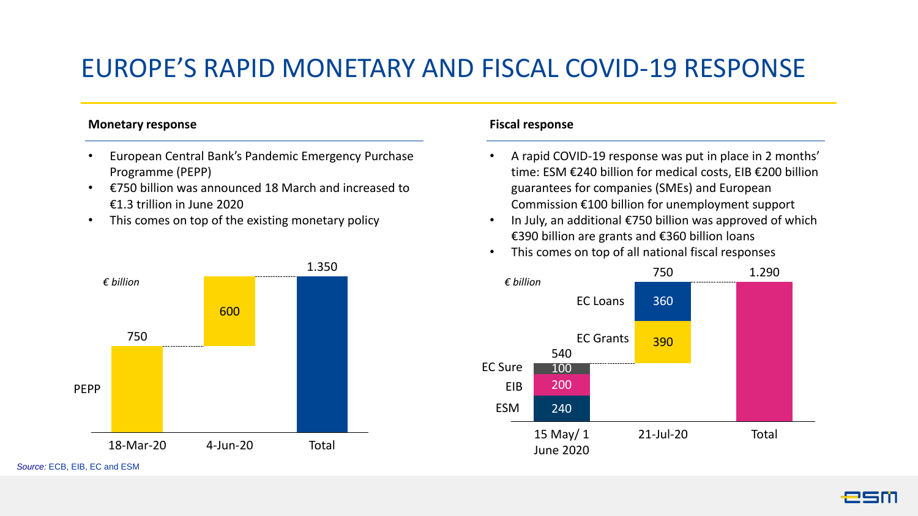## EUROPE'S RAPID MONETARY AND FISCAL COVID-19 RESPONSE

#### **Monetary response**

- European Central Bank's Pandemic Emergency Purchase Programme (PEPP)
- €750 billion was announced 18 March and increased to €1.3 trillion in June 2020
- This comes on top of the existing monetary policy



### **Fiscal response**

- A rapid COVID-19 response was put in place in 2 months' time: ESM €240 billion for medical costs, EIB €200 billion guarantees for companies (SMEs) and European Commission €100 billion for unemployment support
- In July, an additional €750 billion was approved of which €390 billion are grants and €360 billion loans
- This comes on top of all national fiscal responses



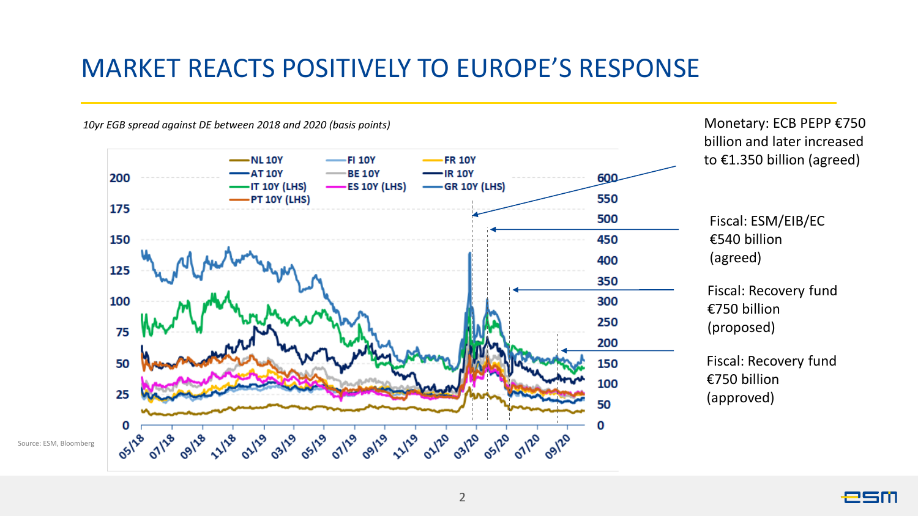### MARKET REACTS POSITIVELY TO EUROPE'S RESPONSE

*10yr EGB spread against DE between 2018 and 2020 (basis points)*

Source: ESM, Bloomberg



Monetary: ECB PEPP €750 billion and later increased to €1.350 billion (agreed)

esm